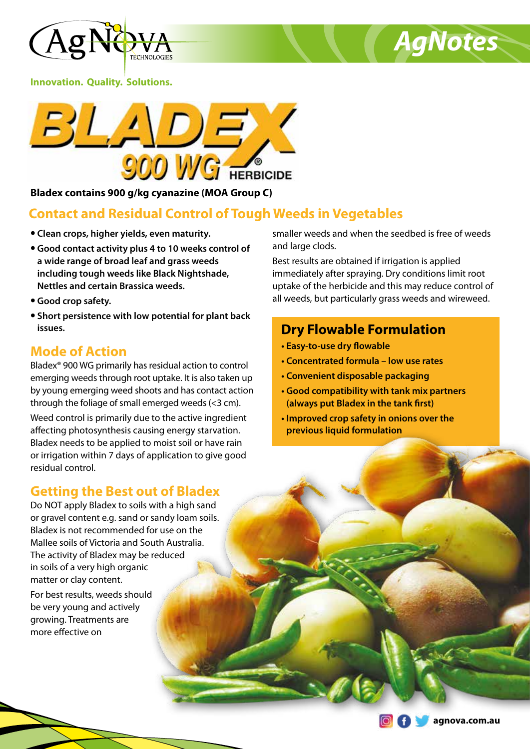



**Innovation. Quality. Solutions.**



**Bladex contains 900 g/kg cyanazine (MOA Group C)**

# **Contact and Residual Control of Tough Weeds in Vegetables**

- **• Clean crops, higher yields, even maturity.**
- **• Good contact activity plus 4 to 10 weeks control of a wide range of broad leaf and grass weeds including tough weeds like Black Nightshade, Nettles and certain Brassica weeds.**
- **• Good crop safety.**
- **• Short persistence with low potential for plant back issues.**

# **Mode of Action**

Bladex® 900 WG primarily has residual action to control emerging weeds through root uptake. It is also taken up by young emerging weed shoots and has contact action through the foliage of small emerged weeds (<3 cm).

Weed control is primarily due to the active ingredient affecting photosynthesis causing energy starvation. Bladex needs to be applied to moist soil or have rain or irrigation within 7 days of application to give good residual control.

# **Getting the Best out of Bladex**

Do NOT apply Bladex to soils with a high sand or gravel content e.g. sand or sandy loam soils. Bladex is not recommended for use on the Mallee soils of Victoria and South Australia. The activity of Bladex may be reduced in soils of a very high organic matter or clay content.

For best results, weeds should be very young and actively growing. Treatments are more effective on

smaller weeds and when the seedbed is free of weeds and large clods.

Best results are obtained if irrigation is applied immediately after spraying. Dry conditions limit root uptake of the herbicide and this may reduce control of all weeds, but particularly grass weeds and wireweed.

# **Dry Flowable Formulation**

- **Easy-to-use dry flowable**
- **Concentrated formula low use rates**
- **Convenient disposable packaging**
- **Good compatibility with tank mix partners (always put Bladex in the tank first)**
- **Improved crop safety in onions over the previous liquid formulation**